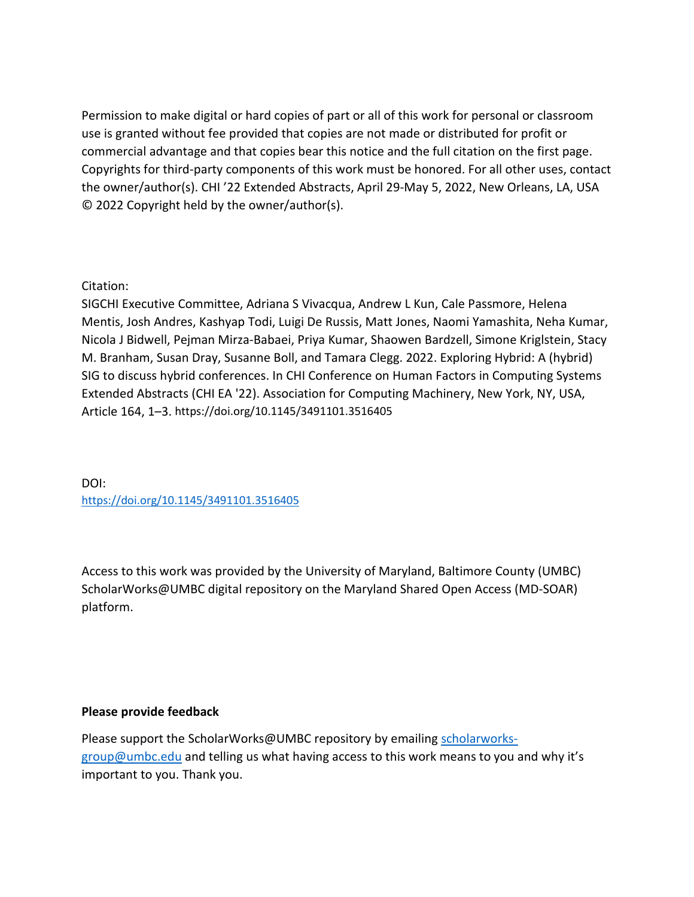Permission to make digital or hard copies of part or all of this work for personal or classroom use is granted without fee provided that copies are not made or distributed for profit or commercial advantage and that copies bear this notice and the full citation on the first page. Copyrights for third-party components of this work must be honored. For all other uses, contact the owner/author(s). CHI '22 Extended Abstracts, April 29-May 5, 2022, New Orleans, LA, USA © 2022 Copyright held by the owner/author(s).

Citation:

SIGCHI Executive Committee, Adriana S Vivacqua, Andrew L Kun, Cale Passmore, Helena Mentis, Josh Andres, Kashyap Todi, Luigi De Russis, Matt Jones, Naomi Yamashita, Neha Kumar, Nicola J Bidwell, Pejman Mirza-Babaei, Priya Kumar, Shaowen Bardzell, Simone Kriglstein, Stacy M. Branham, Susan Dray, Susanne Boll, and Tamara Clegg. 2022. Exploring Hybrid: A (hybrid) SIG to discuss hybrid conferences. In CHI Conference on Human Factors in Computing Systems Extended Abstracts (CHI EA '22). Association for Computing Machinery, New York, NY, USA, Article 164, 1–3.<https://doi.org/10.1145/3491101.3516405>

DOI: <https://doi.org/10.1145/3491101.3516405>

Access to this work was provided by the University of Maryland, Baltimore County (UMBC) ScholarWorks@UMBC digital repository on the Maryland Shared Open Access (MD-SOAR) platform.

## **Please provide feedback**

Please support the ScholarWorks@UMBC repository by emailing [scholarworks](mailto:scholarworks-group@umbc.edu)[group@umbc.edu](mailto:scholarworks-group@umbc.edu) and telling us what having access to this work means to you and why it's important to you. Thank you.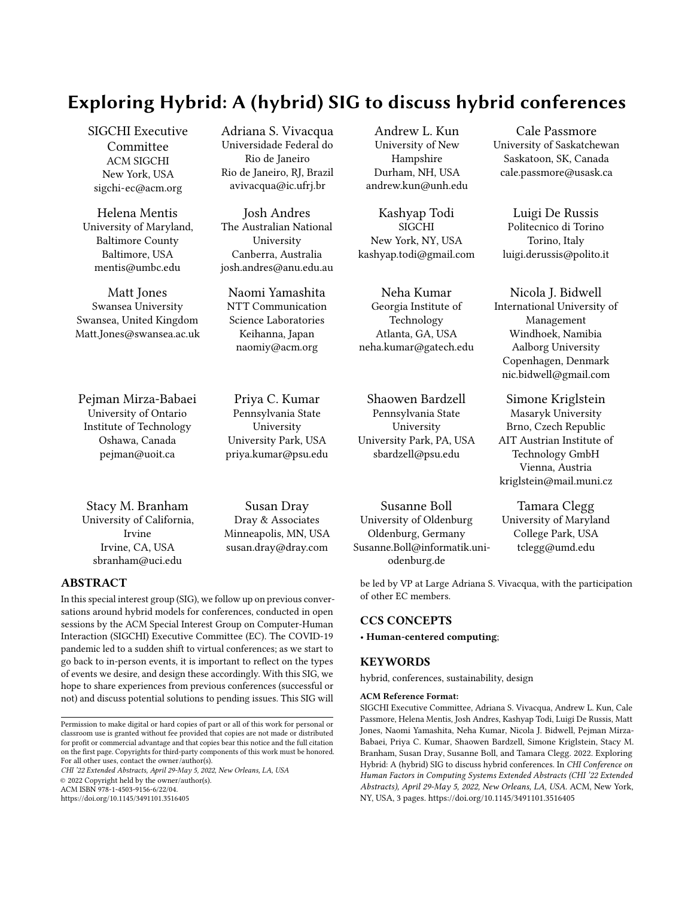# Exploring Hybrid: A (hybrid) SIG to discuss hybrid conferences

SIGCHI Executive **Committee** ACM SIGCHI New York, USA sigchi-ec@acm.org

[Helena Mentis](https://orcid.org/0000-0002-0142-3529) University of Maryland, Baltimore County Baltimore, USA mentis@umbc.edu

[Matt Jones](https://orcid.org/0000-0001-7657-7373) Swansea University Swansea, United Kingdom Matt.Jones@swansea.ac.uk

[Pejman Mirza-Babaei](https://orcid.org/0000-0002-8248-5392) University of Ontario Institute of Technology Oshawa, Canada pejman@uoit.ca

[Stacy M. Branham](https://orcid.org/0000-0003-4894-4070) University of California, Irvine Irvine, CA, USA sbranham@uci.edu

## ABSTRACT

In this special interest group (SIG), we follow up on previous conversations around hybrid models for conferences, conducted in open sessions by the ACM Special Interest Group on Computer-Human Interaction (SIGCHI) Executive Committee (EC). The COVID-19 pandemic led to a sudden shift to virtual conferences; as we start to go back to in-person events, it is important to reflect on the types of events we desire, and design these accordingly. With this SIG, we hope to share experiences from previous conferences (successful or not) and discuss potential solutions to pending issues. This SIG will

CHI '22 Extended Abstracts, April 29-May 5, 2022, New Orleans, LA, USA

© 2022 Copyright held by the owner/author(s). ACM ISBN 978-1-4503-9156-6/22/04.

<https://doi.org/10.1145/3491101.3516405>

[Adriana S. Vivacqua](https://orcid.org/0000-0001-6830-5730) Universidade Federal do Rio de Janeiro Rio de Janeiro, RJ, Brazil avivacqua@ic.ufrj.br

[Josh Andres](https://orcid.org/0000-0001-5882-3139) The Australian National University Canberra, Australia josh.andres@anu.edu.au

Naomi Yamashita NTT Communication Science Laboratories Keihanna, Japan naomiy@acm.org

[Priya C. Kumar](https://orcid.org/0000-0001-9244-7915) Pennsylvania State University University Park, USA priya.kumar@psu.edu

[Susan Dray](https://orcid.org/0000-0001-6941-4939) Dray & Associates Minneapolis, MN, USA susan.dray@dray.com

[Andrew L. Kun](https://orcid.org/0000-0001-9756-7748) University of New Hampshire Durham, NH, USA andrew.kun@unh.edu

[Kashyap Todi](https://orcid.org/0000-0002-6174-2089) SIGCHI New York, NY, USA kashyap.todi@gmail.com

Neha Kumar Georgia Institute of Technology Atlanta, GA, USA neha.kumar@gatech.edu

[Shaowen Bardzell](https://orcid.org/0000-0001-7596-9244) Pennsylvania State University University Park, PA, USA sbardzell@psu.edu

[Susanne Boll](https://orcid.org/0000-0003-4293-1623) University of Oldenburg Oldenburg, Germany Susanne.Boll@informatik.uniodenburg.de

Cale Passmore University of Saskatchewan Saskatoon, SK, Canada cale.passmore@usask.ca

[Luigi De Russis](https://orcid.org/0000-0001-7647-6652) Politecnico di Torino Torino, Italy luigi.derussis@polito.it

[Nicola J. Bidwell](https://orcid.org/0000-0002-4284-2180) International University of Management Windhoek, Namibia Aalborg University Copenhagen, Denmark nic.bidwell@gmail.com

[Simone Kriglstein](https://orcid.org/0000-0001-7817-5589) Masaryk University Brno, Czech Republic AIT Austrian Institute of Technology GmbH Vienna, Austria kriglstein@mail.muni.cz

[Tamara Clegg](https://orcid.org/0000-0001-6558-6944) University of Maryland College Park, USA tclegg@umd.edu

be led by VP at Large Adriana S. Vivacqua, with the participation of other EC members.

## CCS CONCEPTS

## • Human-centered computing;

## **KEYWORDS**

hybrid, conferences, sustainability, design

#### ACM Reference Format:

SIGCHI Executive Committee, Adriana S. Vivacqua, Andrew L. Kun, Cale Passmore, Helena Mentis, Josh Andres, Kashyap Todi, Luigi De Russis, Matt Jones, Naomi Yamashita, Neha Kumar, Nicola J. Bidwell, Pejman Mirza-Babaei, Priya C. Kumar, Shaowen Bardzell, Simone Kriglstein, Stacy M. Branham, Susan Dray, Susanne Boll, and Tamara Clegg. 2022. Exploring Hybrid: A (hybrid) SIG to discuss hybrid conferences. In CHI Conference on Human Factors in Computing Systems Extended Abstracts (CHI '22 Extended Abstracts), April 29-May 5, 2022, New Orleans, LA, USA. ACM, New York, NY, USA, [3](#page-3-0) pages.<https://doi.org/10.1145/3491101.3516405>

Permission to make digital or hard copies of part or all of this work for personal or classroom use is granted without fee provided that copies are not made or distributed for profit or commercial advantage and that copies bear this notice and the full citation on the first page. Copyrights for third-party components of this work must be honored. For all other uses, contact the owner/author(s).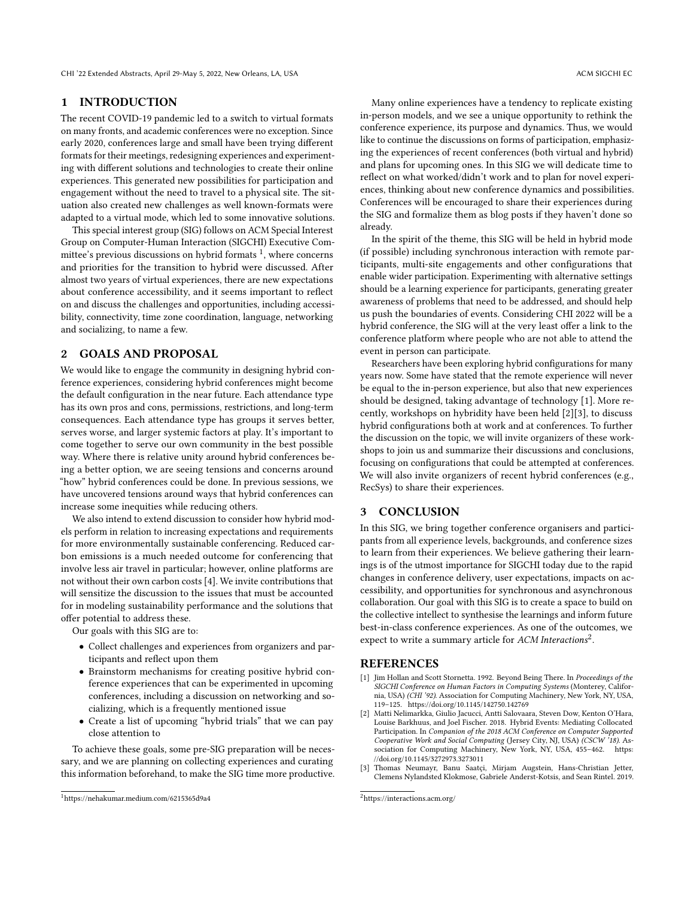## 1 INTRODUCTION

The recent COVID-19 pandemic led to a switch to virtual formats on many fronts, and academic conferences were no exception. Since early 2020, conferences large and small have been trying different formats for their meetings, redesigning experiences and experimenting with different solutions and technologies to create their online experiences. This generated new possibilities for participation and engagement without the need to travel to a physical site. The situation also created new challenges as well known-formats were adapted to a virtual mode, which led to some innovative solutions.

This special interest group (SIG) follows on ACM Special Interest Group on Computer-Human Interaction (SIGCHI) Executive Committee's previous discussions on hybrid formats  $^1,$  $^1,$  $^1,$  where concerns and priorities for the transition to hybrid were discussed. After almost two years of virtual experiences, there are new expectations about conference accessibility, and it seems important to reflect on and discuss the challenges and opportunities, including accessibility, connectivity, time zone coordination, language, networking and socializing, to name a few.

## 2 GOALS AND PROPOSAL

We would like to engage the community in designing hybrid conference experiences, considering hybrid conferences might become the default configuration in the near future. Each attendance type has its own pros and cons, permissions, restrictions, and long-term consequences. Each attendance type has groups it serves better, serves worse, and larger systemic factors at play. It's important to come together to serve our own community in the best possible way. Where there is relative unity around hybrid conferences being a better option, we are seeing tensions and concerns around "how" hybrid conferences could be done. In previous sessions, we have uncovered tensions around ways that hybrid conferences can increase some inequities while reducing others.

We also intend to extend discussion to consider how hybrid models perform in relation to increasing expectations and requirements for more environmentally sustainable conferencing. Reduced carbon emissions is a much needed outcome for conferencing that involve less air travel in particular; however, online platforms are not without their own carbon costs [\[4\]](#page-3-1). We invite contributions that will sensitize the discussion to the issues that must be accounted for in modeling sustainability performance and the solutions that offer potential to address these.

Our goals with this SIG are to:

- Collect challenges and experiences from organizers and participants and reflect upon them
- Brainstorm mechanisms for creating positive hybrid conference experiences that can be experimented in upcoming conferences, including a discussion on networking and socializing, which is a frequently mentioned issue
- Create a list of upcoming "hybrid trials" that we can pay close attention to

To achieve these goals, some pre-SIG preparation will be necessary, and we are planning on collecting experiences and curating this information beforehand, to make the SIG time more productive.

Many online experiences have a tendency to replicate existing in-person models, and we see a unique opportunity to rethink the conference experience, its purpose and dynamics. Thus, we would like to continue the discussions on forms of participation, emphasizing the experiences of recent conferences (both virtual and hybrid) and plans for upcoming ones. In this SIG we will dedicate time to reflect on what worked/didn't work and to plan for novel experiences, thinking about new conference dynamics and possibilities. Conferences will be encouraged to share their experiences during the SIG and formalize them as blog posts if they haven't done so already.

In the spirit of the theme, this SIG will be held in hybrid mode (if possible) including synchronous interaction with remote participants, multi-site engagements and other configurations that enable wider participation. Experimenting with alternative settings should be a learning experience for participants, generating greater awareness of problems that need to be addressed, and should help us push the boundaries of events. Considering CHI 2022 will be a hybrid conference, the SIG will at the very least offer a link to the conference platform where people who are not able to attend the event in person can participate.

Researchers have been exploring hybrid configurations for many years now. Some have stated that the remote experience will never be equal to the in-person experience, but also that new experiences should be designed, taking advantage of technology [\[1\]](#page-2-1). More recently, workshops on hybridity have been held [\[2\]](#page-2-2)[\[3\]](#page-2-3), to discuss hybrid configurations both at work and at conferences. To further the discussion on the topic, we will invite organizers of these workshops to join us and summarize their discussions and conclusions, focusing on configurations that could be attempted at conferences. We will also invite organizers of recent hybrid conferences (e.g., RecSys) to share their experiences.

## 3 CONCLUSION

In this SIG, we bring together conference organisers and participants from all experience levels, backgrounds, and conference sizes to learn from their experiences. We believe gathering their learnings is of the utmost importance for SIGCHI today due to the rapid changes in conference delivery, user expectations, impacts on accessibility, and opportunities for synchronous and asynchronous collaboration. Our goal with this SIG is to create a space to build on the collective intellect to synthesise the learnings and inform future best-in-class conference experiences. As one of the outcomes, we expect to write a summary article for ACM Interactions<sup>[2](#page-2-4)</sup>.

## **REFERENCES**

- <span id="page-2-1"></span>[1] Jim Hollan and Scott Stornetta. 1992. Beyond Being There. In Proceedings of the SIGCHI Conference on Human Factors in Computing Systems (Monterey, California, USA) (CHI '92). Association for Computing Machinery, New York, NY, USA, 119–125.<https://doi.org/10.1145/142750.142769>
- <span id="page-2-2"></span>[2] Matti Nelimarkka, Giulio Jacucci, Antti Salovaara, Steven Dow, Kenton O'Hara, Louise Barkhuus, and Joel Fischer. 2018. Hybrid Events: Mediating Collocated Participation. In Companion of the 2018 ACM Conference on Computer Supported Cooperative Work and Social Computing (Jersey City, NJ, USA) (CSCW '18). Association for Computing Machinery, New York, NY, USA, 455–462. [https:](https://doi.org/10.1145/3272973.3273011) [//doi.org/10.1145/3272973.3273011](https://doi.org/10.1145/3272973.3273011)
- <span id="page-2-3"></span>[3] Thomas Neumayr, Banu Saatçi, Mirjam Augstein, Hans-Christian Jetter, Clemens Nylandsted Klokmose, Gabriele Anderst-Kotsis, and Sean Rintel. 2019.

<span id="page-2-0"></span><sup>1</sup><https://nehakumar.medium.com/6215365d9a4>

<span id="page-2-4"></span><sup>2</sup><https://interactions.acm.org/>